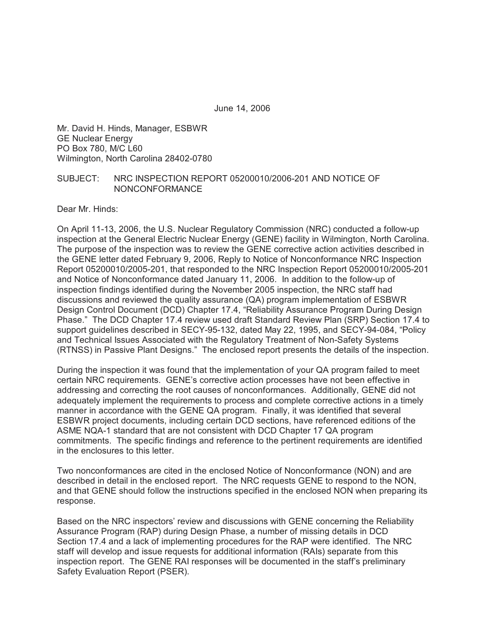June 14, 2006

Mr. David H. Hinds, Manager, ESBWR GE Nuclear Energy PO Box 780, M/C L60 Wilmington, North Carolina 28402-0780

### SUBJECT: NRC INSPECTION REPORT 05200010/2006-201 AND NOTICE OF NONCONFORMANCE

Dear Mr. Hinds:

On April 11-13, 2006, the U.S. Nuclear Regulatory Commission (NRC) conducted a follow-up inspection at the General Electric Nuclear Energy (GENE) facility in Wilmington, North Carolina. The purpose of the inspection was to review the GENE corrective action activities described in the GENE letter dated February 9, 2006, Reply to Notice of Nonconformance NRC Inspection Report 05200010/2005-201, that responded to the NRC Inspection Report 05200010/2005-201 and Notice of Nonconformance dated January 11, 2006. In addition to the follow-up of inspection findings identified during the November 2005 inspection, the NRC staff had discussions and reviewed the quality assurance (QA) program implementation of ESBWR Design Control Document (DCD) Chapter 17.4, "Reliability Assurance Program During Design Phase." The DCD Chapter 17.4 review used draft Standard Review Plan (SRP) Section 17.4 to support guidelines described in SECY-95-132, dated May 22, 1995, and SECY-94-084, "Policy and Technical Issues Associated with the Regulatory Treatment of Non-Safety Systems (RTNSS) in Passive Plant Designs." The enclosed report presents the details of the inspection.

During the inspection it was found that the implementation of your QA program failed to meet certain NRC requirements. GENE's corrective action processes have not been effective in addressing and correcting the root causes of nonconformances. Additionally, GENE did not adequately implement the requirements to process and complete corrective actions in a timely manner in accordance with the GENE QA program. Finally, it was identified that several ESBWR project documents, including certain DCD sections, have referenced editions of the ASME NQA-1 standard that are not consistent with DCD Chapter 17 QA program commitments. The specific findings and reference to the pertinent requirements are identified in the enclosures to this letter.

Two nonconformances are cited in the enclosed Notice of Nonconformance (NON) and are described in detail in the enclosed report. The NRC requests GENE to respond to the NON, and that GENE should follow the instructions specified in the enclosed NON when preparing its response.

Based on the NRC inspectors' review and discussions with GENE concerning the Reliability Assurance Program (RAP) during Design Phase, a number of missing details in DCD Section 17.4 and a lack of implementing procedures for the RAP were identified. The NRC staff will develop and issue requests for additional information (RAIs) separate from this inspection report. The GENE RAI responses will be documented in the staff's preliminary Safety Evaluation Report (PSER).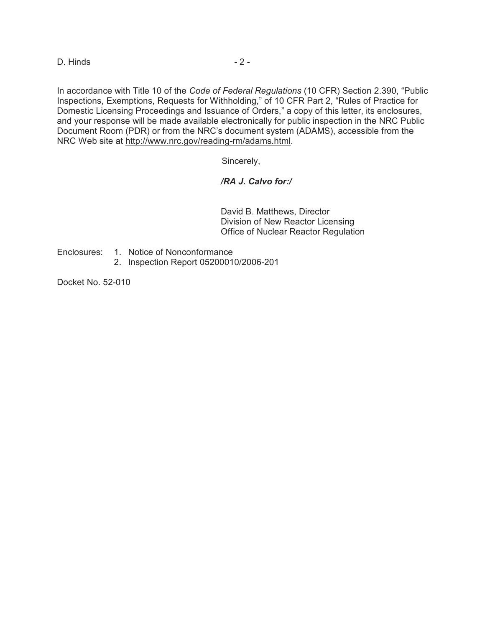D. Hinds - 2 -

In accordance with Title 10 of the *Code of Federal Regulations* (10 CFR) Section 2.390, "Public Inspections, Exemptions, Requests for Withholding," of 10 CFR Part 2, "Rules of Practice for Domestic Licensing Proceedings and Issuance of Orders," a copy of this letter, its enclosures, and your response will be made available electronically for public inspection in the NRC Public Document Room (PDR) or from the NRC's document system (ADAMS), accessible from the NRC Web site at http://www.nrc.gov/reading-rm/adams.html.

Sincerely,

# */RA J. Calvo for:/*

David B. Matthews, Director Division of New Reactor Licensing Office of Nuclear Reactor Regulation

Enclosures: 1. Notice of Nonconformance

2. Inspection Report 05200010/2006-201

Docket No. 52-010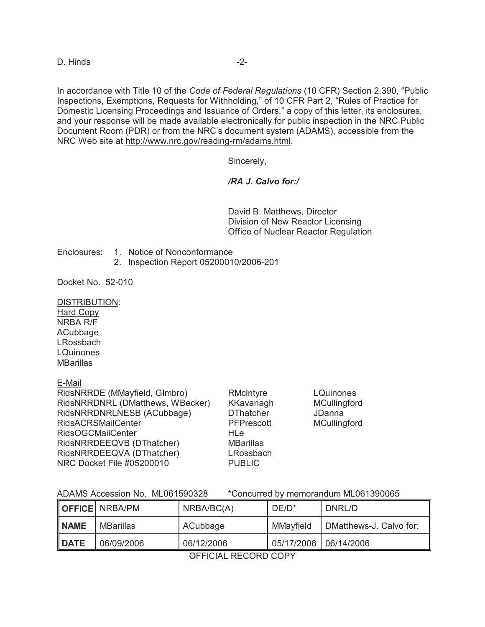D. Hinds -2-

In accordance with Title 10 of the *Code of Federal Regulations* (10 CFR) Section 2.390, "Public Inspections, Exemptions, Requests for Withholding," of 10 CFR Part 2, "Rules of Practice for Domestic Licensing Proceedings and Issuance of Orders," a copy of this letter, its enclosures, and your response will be made available electronically for public inspection in the NRC Public Document Room (PDR) or from the NRC's document system (ADAMS), accessible from the NRC Web site at http://www.nrc.gov/reading-rm/adams.html.

Sincerely,

# */RA J. Calvo for:/*

David B. Matthews, Director Division of New Reactor Licensing Office of Nuclear Reactor Regulation

Enclosures: 1. Notice of Nonconformance

2. Inspection Report 05200010/2006-201

Docket No. 52-010

DISTRIBUTION:

Hard Copy NRBA R/F **ACubbage** LRossbach **LQuinones MBarillas** 

E-Mail

| RidsNRRDE (MMayfield, Glmbro)    | RMcIntyre         | <b>LQuinones</b>    |
|----------------------------------|-------------------|---------------------|
| RidsNRRDNRL (DMatthews, WBecker) | KKavanagh         | MCullingford        |
| RidsNRRDNRLNESB (ACubbage)       | <b>DThatcher</b>  | JDanna              |
| <b>RidsACRSMailCenter</b>        | <b>PFPrescott</b> | <b>MCullingford</b> |
| <b>RidsOGCMailCenter</b>         | <b>HLe</b>        |                     |
| RidsNRRDEEQVB (DThatcher)        | <b>MBarillas</b>  |                     |
| RidsNRRDEEQVA (DThatcher)        | LRossbach         |                     |
| NRC Docket File #05200010        | <b>PUBLIC</b>     |                     |
|                                  |                   |                     |

| ADAMS Accession No. ML061590328 |  | *Concurred by memorandum ML061390065 |
|---------------------------------|--|--------------------------------------|
|---------------------------------|--|--------------------------------------|

|               | <b>OFFICE NRBA/PM</b> | NRBA/BC(A) | $DE/D^*$               | DNRL/D                  |
|---------------|-----------------------|------------|------------------------|-------------------------|
| <b>I</b> NAME | MBarillas             | ACubbage   | MMayfield              | DMatthews-J. Calvo for: |
| II DATE       | 06/09/2006            | 06/12/2006 | 05/17/2006  06/14/2006 |                         |

OFFICIAL RECORD COPY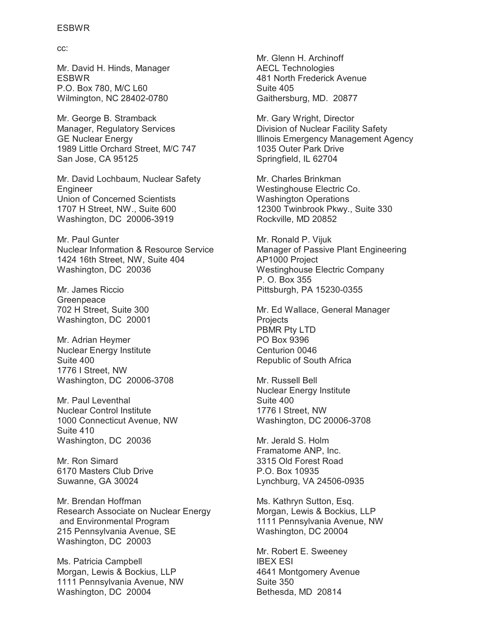cc:

Mr. David H. Hinds, Manager ESBWR P.O. Box 780, M/C L60 Wilmington, NC 28402-0780

Mr. George B. Stramback Manager, Regulatory Services GE Nuclear Energy 1989 Little Orchard Street, M/C 747 San Jose, CA 95125

Mr. David Lochbaum, Nuclear Safety Engineer Union of Concerned Scientists 1707 H Street, NW., Suite 600 Washington, DC 20006-3919

Mr. Paul Gunter Nuclear Information & Resource Service 1424 16th Street, NW, Suite 404 Washington, DC 20036

Mr. James Riccio Greenpeace 702 H Street, Suite 300 Washington, DC 20001

Mr. Adrian Heymer Nuclear Energy Institute Suite 400 1776 I Street, NW Washington, DC 20006-3708

Mr. Paul Leventhal Nuclear Control Institute 1000 Connecticut Avenue, NW Suite 410 Washington, DC 20036

Mr. Ron Simard 6170 Masters Club Drive Suwanne, GA 30024

Mr. Brendan Hoffman Research Associate on Nuclear Energy and Environmental Program 215 Pennsylvania Avenue, SE Washington, DC 20003

Ms. Patricia Campbell Morgan, Lewis & Bockius, LLP 1111 Pennsylvania Avenue, NW Washington, DC 20004

Mr. Glenn H. Archinoff AECL Technologies 481 North Frederick Avenue Suite 405 Gaithersburg, MD. 20877

Mr. Gary Wright, Director Division of Nuclear Facility Safety Illinois Emergency Management Agency 1035 Outer Park Drive Springfield, IL 62704

Mr. Charles Brinkman Westinghouse Electric Co. Washington Operations 12300 Twinbrook Pkwy., Suite 330 Rockville, MD 20852

Mr. Ronald P. Vijuk Manager of Passive Plant Engineering AP1000 Project Westinghouse Electric Company P. O. Box 355 Pittsburgh, PA 15230-0355

Mr. Ed Wallace, General Manager **Projects** PBMR Pty LTD PO Box 9396 Centurion 0046 Republic of South Africa

Mr. Russell Bell Nuclear Energy Institute Suite 400 1776 I Street, NW Washington, DC 20006-3708

Mr. Jerald S. Holm Framatome ANP, Inc. 3315 Old Forest Road P.O. Box 10935 Lynchburg, VA 24506-0935

Ms. Kathryn Sutton, Esq. Morgan, Lewis & Bockius, LLP 1111 Pennsylvania Avenue, NW Washington, DC 20004

Mr. Robert E. Sweeney IBEX ESI 4641 Montgomery Avenue Suite 350 Bethesda, MD 20814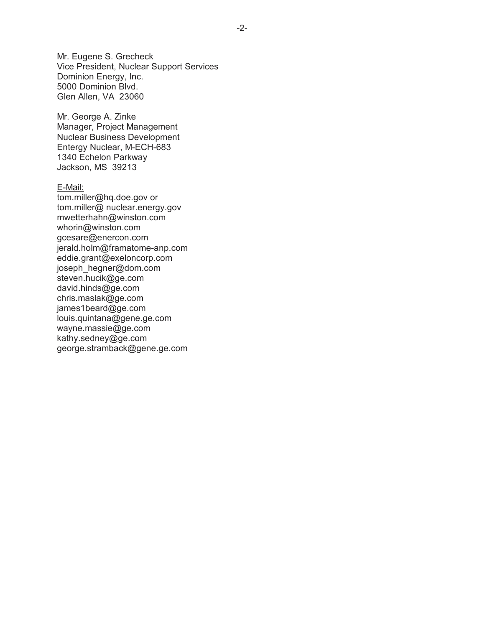Mr. Eugene S. Grecheck Vice President, Nuclear Support Services Dominion Energy, Inc. 5000 Dominion Blvd. Glen Allen, VA 23060

Mr. George A. Zinke Manager, Project Management Nuclear Business Development Entergy Nuclear, M-ECH-683 1340 Echelon Parkway Jackson, MS 39213

E-Mail: tom.miller@hq.doe.gov or tom.miller@ nuclear.energy.gov mwetterhahn@winston.com whorin@winston.com gcesare@enercon.com jerald.holm@framatome-anp.com eddie.grant@exeloncorp.com joseph\_hegner@dom.com steven.hucik@ge.com david.hinds@ge.com chris.maslak@ge.com james1beard@ge.com louis.quintana@gene.ge.com wayne.massie@ge.com kathy.sedney@ge.com george.stramback@gene.ge.com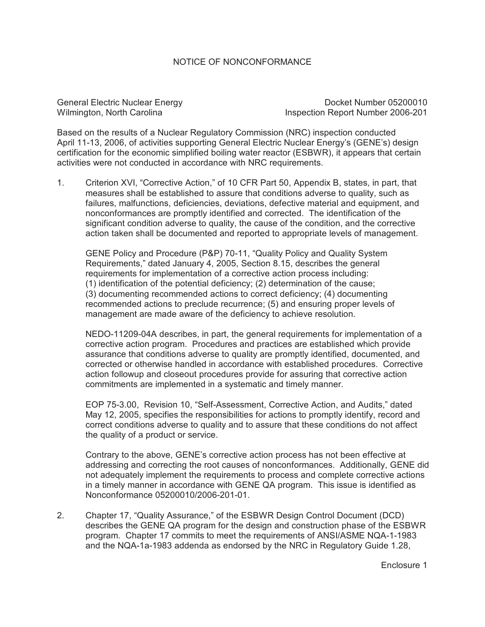# NOTICE OF NONCONFORMANCE

General Electric Nuclear Energy North Charles Control Docket Number 05200010 Wilmington, North Carolina **Inspection Report Number 2006-201** 

Based on the results of a Nuclear Regulatory Commission (NRC) inspection conducted April 11-13, 2006, of activities supporting General Electric Nuclear Energy's (GENE's) design certification for the economic simplified boiling water reactor (ESBWR), it appears that certain activities were not conducted in accordance with NRC requirements.

1. Criterion XVI, "Corrective Action," of 10 CFR Part 50, Appendix B, states, in part, that measures shall be established to assure that conditions adverse to quality, such as failures, malfunctions, deficiencies, deviations, defective material and equipment, and nonconformances are promptly identified and corrected. The identification of the significant condition adverse to quality, the cause of the condition, and the corrective action taken shall be documented and reported to appropriate levels of management.

GENE Policy and Procedure (P&P) 70-11, "Quality Policy and Quality System Requirements," dated January 4, 2005, Section 8.15, describes the general requirements for implementation of a corrective action process including: (1) identification of the potential deficiency; (2) determination of the cause; (3) documenting recommended actions to correct deficiency; (4) documenting recommended actions to preclude recurrence; (5) and ensuring proper levels of management are made aware of the deficiency to achieve resolution.

NEDO-11209-04A describes, in part, the general requirements for implementation of a corrective action program. Procedures and practices are established which provide assurance that conditions adverse to quality are promptly identified, documented, and corrected or otherwise handled in accordance with established procedures. Corrective action followup and closeout procedures provide for assuring that corrective action commitments are implemented in a systematic and timely manner.

EOP 75-3.00, Revision 10, "Self-Assessment, Corrective Action, and Audits," dated May 12, 2005, specifies the responsibilities for actions to promptly identify, record and correct conditions adverse to quality and to assure that these conditions do not affect the quality of a product or service.

Contrary to the above, GENE's corrective action process has not been effective at addressing and correcting the root causes of nonconformances. Additionally, GENE did not adequately implement the requirements to process and complete corrective actions in a timely manner in accordance with GENE QA program. This issue is identified as Nonconformance 05200010/2006-201-01.

2. Chapter 17, "Quality Assurance," of the ESBWR Design Control Document (DCD) describes the GENE QA program for the design and construction phase of the ESBWR program. Chapter 17 commits to meet the requirements of ANSI/ASME NQA-1-1983 and the NQA-1a-1983 addenda as endorsed by the NRC in Regulatory Guide 1.28,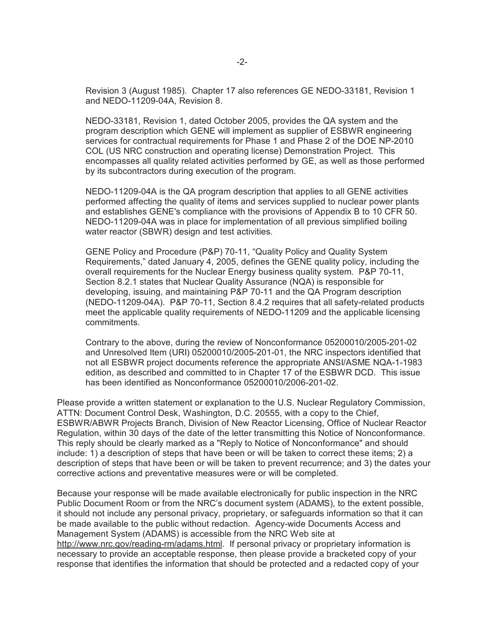Revision 3 (August 1985). Chapter 17 also references GE NEDO-33181, Revision 1 and NEDO-11209-04A, Revision 8.

NEDO-33181, Revision 1, dated October 2005, provides the QA system and the program description which GENE will implement as supplier of ESBWR engineering services for contractual requirements for Phase 1 and Phase 2 of the DOE NP-2010 COL (US NRC construction and operating license) Demonstration Project. This encompasses all quality related activities performed by GE, as well as those performed by its subcontractors during execution of the program.

NEDO-11209-04A is the QA program description that applies to all GENE activities performed affecting the quality of items and services supplied to nuclear power plants and establishes GENE's compliance with the provisions of Appendix B to 10 CFR 50. NEDO-11209-04A was in place for implementation of all previous simplified boiling water reactor (SBWR) design and test activities.

GENE Policy and Procedure (P&P) 70-11, "Quality Policy and Quality System Requirements," dated January 4, 2005, defines the GENE quality policy, including the overall requirements for the Nuclear Energy business quality system. P&P 70-11, Section 8.2.1 states that Nuclear Quality Assurance (NQA) is responsible for developing, issuing, and maintaining P&P 70-11 and the QA Program description (NEDO-11209-04A). P&P 70-11, Section 8.4.2 requires that all safety-related products meet the applicable quality requirements of NEDO-11209 and the applicable licensing commitments.

Contrary to the above, during the review of Nonconformance 05200010/2005-201-02 and Unresolved Item (URI) 05200010/2005-201-01, the NRC inspectors identified that not all ESBWR project documents reference the appropriate ANSI/ASME NQA-1-1983 edition, as described and committed to in Chapter 17 of the ESBWR DCD. This issue has been identified as Nonconformance 05200010/2006-201-02.

Please provide a written statement or explanation to the U.S. Nuclear Regulatory Commission, ATTN: Document Control Desk, Washington, D.C. 20555, with a copy to the Chief, ESBWR/ABWR Projects Branch, Division of New Reactor Licensing, Office of Nuclear Reactor Regulation, within 30 days of the date of the letter transmitting this Notice of Nonconformance. This reply should be clearly marked as a "Reply to Notice of Nonconformance" and should include: 1) a description of steps that have been or will be taken to correct these items; 2) a description of steps that have been or will be taken to prevent recurrence; and 3) the dates your corrective actions and preventative measures were or will be completed.

Because your response will be made available electronically for public inspection in the NRC Public Document Room or from the NRC's document system (ADAMS), to the extent possible, it should not include any personal privacy, proprietary, or safeguards information so that it can be made available to the public without redaction. Agency-wide Documents Access and Management System (ADAMS) is accessible from the NRC Web site at http://www.nrc.gov/reading-rm/adams.html. If personal privacy or proprietary information is necessary to provide an acceptable response, then please provide a bracketed copy of your response that identifies the information that should be protected and a redacted copy of your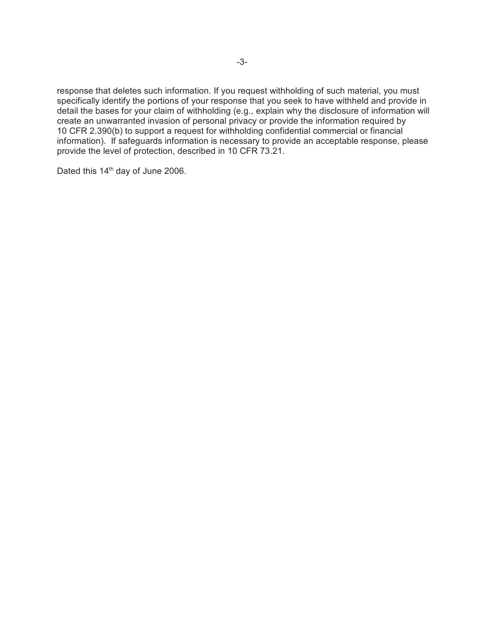response that deletes such information. If you request withholding of such material, you must specifically identify the portions of your response that you seek to have withheld and provide in detail the bases for your claim of withholding (e.g., explain why the disclosure of information will create an unwarranted invasion of personal privacy or provide the information required by 10 CFR 2.390(b) to support a request for withholding confidential commercial or financial information). If safeguards information is necessary to provide an acceptable response, please provide the level of protection, described in 10 CFR 73.21.

Dated this 14<sup>th</sup> day of June 2006.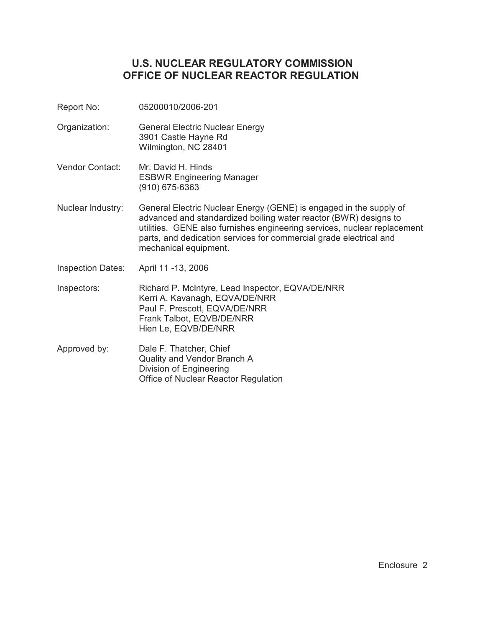# **U.S. NUCLEAR REGULATORY COMMISSION OFFICE OF NUCLEAR REACTOR REGULATION**

- Report No: 05200010/2006-201
- Organization: General Electric Nuclear Energy 3901 Castle Hayne Rd Wilmington, NC 28401
- Vendor Contact: Mr. David H. Hinds ESBWR Engineering Manager (910) 675-6363
- Nuclear Industry: General Electric Nuclear Energy (GENE) is engaged in the supply of advanced and standardized boiling water reactor (BWR) designs to utilities. GENE also furnishes engineering services, nuclear replacement parts, and dedication services for commercial grade electrical and mechanical equipment.
- Inspection Dates: April 11 -13, 2006
- Inspectors: Richard P. McIntyre, Lead Inspector, EQVA/DE/NRR Kerri A. Kavanagh, EQVA/DE/NRR Paul F. Prescott, EQVA/DE/NRR Frank Talbot, EQVB/DE/NRR Hien Le, EQVB/DE/NRR
- Approved by: Dale F. Thatcher, Chief Quality and Vendor Branch A Division of Engineering Office of Nuclear Reactor Regulation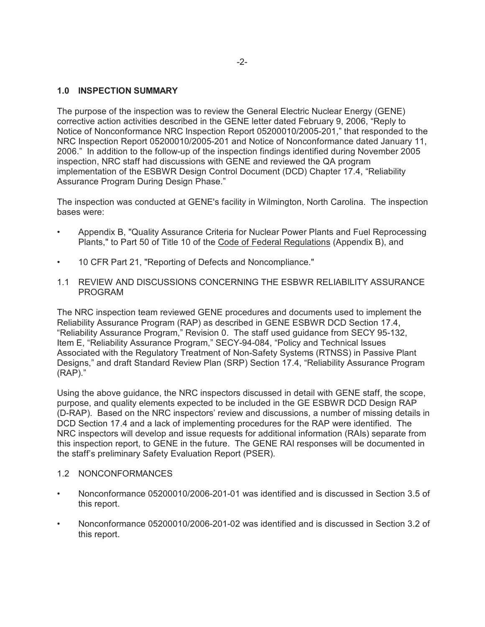# **1.0 INSPECTION SUMMARY**

The purpose of the inspection was to review the General Electric Nuclear Energy (GENE) corrective action activities described in the GENE letter dated February 9, 2006, "Reply to Notice of Nonconformance NRC Inspection Report 05200010/2005-201," that responded to the NRC Inspection Report 05200010/2005-201 and Notice of Nonconformance dated January 11, 2006." In addition to the follow-up of the inspection findings identified during November 2005 inspection, NRC staff had discussions with GENE and reviewed the QA program implementation of the ESBWR Design Control Document (DCD) Chapter 17.4, "Reliability Assurance Program During Design Phase."

The inspection was conducted at GENE's facility in Wilmington, North Carolina. The inspection bases were:

- Appendix B, "Quality Assurance Criteria for Nuclear Power Plants and Fuel Reprocessing Plants," to Part 50 of Title 10 of the Code of Federal Regulations (Appendix B), and
- 10 CFR Part 21, "Reporting of Defects and Noncompliance."
- 1.1 REVIEW AND DISCUSSIONS CONCERNING THE ESBWR RELIABILITY ASSURANCE PROGRAM

The NRC inspection team reviewed GENE procedures and documents used to implement the Reliability Assurance Program (RAP) as described in GENE ESBWR DCD Section 17.4, "Reliability Assurance Program," Revision 0. The staff used guidance from SECY 95-132, Item E, "Reliability Assurance Program," SECY-94-084, "Policy and Technical Issues Associated with the Regulatory Treatment of Non-Safety Systems (RTNSS) in Passive Plant Designs," and draft Standard Review Plan (SRP) Section 17.4, "Reliability Assurance Program (RAP)."

Using the above guidance, the NRC inspectors discussed in detail with GENE staff, the scope, purpose, and quality elements expected to be included in the GE ESBWR DCD Design RAP (D-RAP). Based on the NRC inspectors' review and discussions, a number of missing details in DCD Section 17.4 and a lack of implementing procedures for the RAP were identified. The NRC inspectors will develop and issue requests for additional information (RAIs) separate from this inspection report, to GENE in the future. The GENE RAI responses will be documented in the staff's preliminary Safety Evaluation Report (PSER).

### 1.2 NONCONFORMANCES

- Nonconformance 05200010/2006-201-01 was identified and is discussed in Section 3.5 of this report.
- Nonconformance 05200010/2006-201-02 was identified and is discussed in Section 3.2 of this report.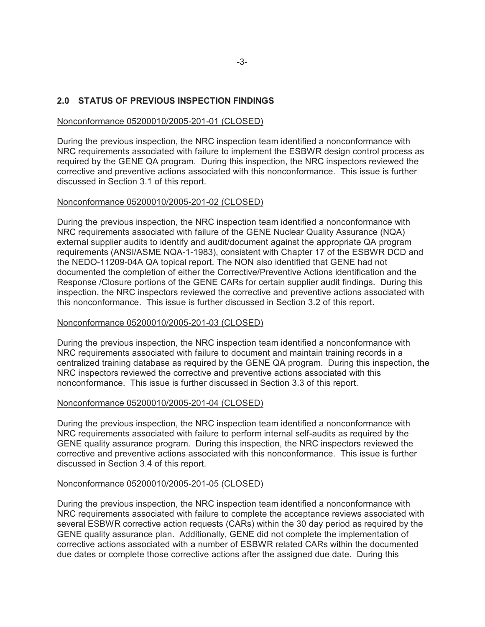# **2.0 STATUS OF PREVIOUS INSPECTION FINDINGS**

# Nonconformance 05200010/2005-201-01 (CLOSED)

During the previous inspection, the NRC inspection team identified a nonconformance with NRC requirements associated with failure to implement the ESBWR design control process as required by the GENE QA program. During this inspection, the NRC inspectors reviewed the corrective and preventive actions associated with this nonconformance. This issue is further discussed in Section 3.1 of this report.

# Nonconformance 05200010/2005-201-02 (CLOSED)

During the previous inspection, the NRC inspection team identified a nonconformance with NRC requirements associated with failure of the GENE Nuclear Quality Assurance (NQA) external supplier audits to identify and audit/document against the appropriate QA program requirements (ANSI/ASME NQA-1-1983), consistent with Chapter 17 of the ESBWR DCD and the NEDO-11209-04A QA topical report. The NON also identified that GENE had not documented the completion of either the Corrective/Preventive Actions identification and the Response /Closure portions of the GENE CARs for certain supplier audit findings. During this inspection, the NRC inspectors reviewed the corrective and preventive actions associated with this nonconformance. This issue is further discussed in Section 3.2 of this report.

# Nonconformance 05200010/2005-201-03 (CLOSED)

During the previous inspection, the NRC inspection team identified a nonconformance with NRC requirements associated with failure to document and maintain training records in a centralized training database as required by the GENE QA program. During this inspection, the NRC inspectors reviewed the corrective and preventive actions associated with this nonconformance. This issue is further discussed in Section 3.3 of this report.

### Nonconformance 05200010/2005-201-04 (CLOSED)

During the previous inspection, the NRC inspection team identified a nonconformance with NRC requirements associated with failure to perform internal self-audits as required by the GENE quality assurance program. During this inspection, the NRC inspectors reviewed the corrective and preventive actions associated with this nonconformance. This issue is further discussed in Section 3.4 of this report.

### Nonconformance 05200010/2005-201-05 (CLOSED)

During the previous inspection, the NRC inspection team identified a nonconformance with NRC requirements associated with failure to complete the acceptance reviews associated with several ESBWR corrective action requests (CARs) within the 30 day period as required by the GENE quality assurance plan. Additionally, GENE did not complete the implementation of corrective actions associated with a number of ESBWR related CARs within the documented due dates or complete those corrective actions after the assigned due date. During this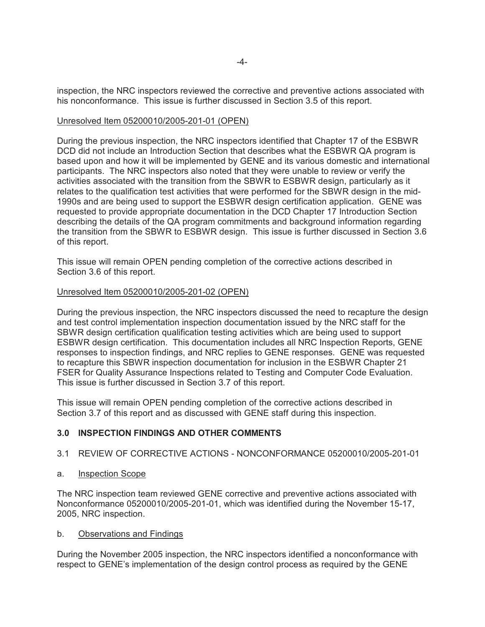inspection, the NRC inspectors reviewed the corrective and preventive actions associated with his nonconformance. This issue is further discussed in Section 3.5 of this report.

#### Unresolved Item 05200010/2005-201-01 (OPEN)

During the previous inspection, the NRC inspectors identified that Chapter 17 of the ESBWR DCD did not include an Introduction Section that describes what the ESBWR QA program is based upon and how it will be implemented by GENE and its various domestic and international participants. The NRC inspectors also noted that they were unable to review or verify the activities associated with the transition from the SBWR to ESBWR design, particularly as it relates to the qualification test activities that were performed for the SBWR design in the mid-1990s and are being used to support the ESBWR design certification application. GENE was requested to provide appropriate documentation in the DCD Chapter 17 Introduction Section describing the details of the QA program commitments and background information regarding the transition from the SBWR to ESBWR design. This issue is further discussed in Section 3.6 of this report.

This issue will remain OPEN pending completion of the corrective actions described in Section 3.6 of this report.

#### Unresolved Item 05200010/2005-201-02 (OPEN)

During the previous inspection, the NRC inspectors discussed the need to recapture the design and test control implementation inspection documentation issued by the NRC staff for the SBWR design certification qualification testing activities which are being used to support ESBWR design certification. This documentation includes all NRC Inspection Reports, GENE responses to inspection findings, and NRC replies to GENE responses. GENE was requested to recapture this SBWR inspection documentation for inclusion in the ESBWR Chapter 21 FSER for Quality Assurance Inspections related to Testing and Computer Code Evaluation. This issue is further discussed in Section 3.7 of this report.

This issue will remain OPEN pending completion of the corrective actions described in Section 3.7 of this report and as discussed with GENE staff during this inspection.

### **3.0 INSPECTION FINDINGS AND OTHER COMMENTS**

- 3.1 REVIEW OF CORRECTIVE ACTIONS NONCONFORMANCE 05200010/2005-201-01
- a. Inspection Scope

The NRC inspection team reviewed GENE corrective and preventive actions associated with Nonconformance 05200010/2005-201-01, which was identified during the November 15-17, 2005, NRC inspection.

#### b. Observations and Findings

During the November 2005 inspection, the NRC inspectors identified a nonconformance with respect to GENE's implementation of the design control process as required by the GENE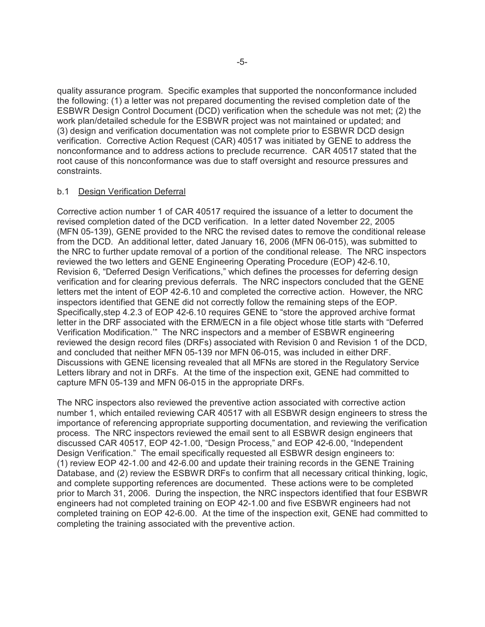quality assurance program. Specific examples that supported the nonconformance included the following: (1) a letter was not prepared documenting the revised completion date of the ESBWR Design Control Document (DCD) verification when the schedule was not met; (2) the work plan/detailed schedule for the ESBWR project was not maintained or updated; and (3) design and verification documentation was not complete prior to ESBWR DCD design verification. Corrective Action Request (CAR) 40517 was initiated by GENE to address the nonconformance and to address actions to preclude recurrence. CAR 40517 stated that the root cause of this nonconformance was due to staff oversight and resource pressures and constraints.

### b.1 Design Verification Deferral

Corrective action number 1 of CAR 40517 required the issuance of a letter to document the revised completion dated of the DCD verification. In a letter dated November 22, 2005 (MFN 05-139), GENE provided to the NRC the revised dates to remove the conditional release from the DCD. An additional letter, dated January 16, 2006 (MFN 06-015), was submitted to the NRC to further update removal of a portion of the conditional release. The NRC inspectors reviewed the two letters and GENE Engineering Operating Procedure (EOP) 42-6.10, Revision 6, "Deferred Design Verifications," which defines the processes for deferring design verification and for clearing previous deferrals. The NRC inspectors concluded that the GENE letters met the intent of EOP 42-6.10 and completed the corrective action. However, the NRC inspectors identified that GENE did not correctly follow the remaining steps of the EOP. Specifically,step 4.2.3 of EOP 42-6.10 requires GENE to "store the approved archive format letter in the DRF associated with the ERM/ECN in a file object whose title starts with "Deferred Verification Modification.'" The NRC inspectors and a member of ESBWR engineering reviewed the design record files (DRFs) associated with Revision 0 and Revision 1 of the DCD, and concluded that neither MFN 05-139 nor MFN 06-015, was included in either DRF. Discussions with GENE licensing revealed that all MFNs are stored in the Regulatory Service Letters library and not in DRFs. At the time of the inspection exit, GENE had committed to capture MFN 05-139 and MFN 06-015 in the appropriate DRFs.

The NRC inspectors also reviewed the preventive action associated with corrective action number 1, which entailed reviewing CAR 40517 with all ESBWR design engineers to stress the importance of referencing appropriate supporting documentation, and reviewing the verification process. The NRC inspectors reviewed the email sent to all ESBWR design engineers that discussed CAR 40517, EOP 42-1.00, "Design Process," and EOP 42-6.00, "Independent Design Verification." The email specifically requested all ESBWR design engineers to: (1) review EOP 42-1.00 and 42-6.00 and update their training records in the GENE Training Database, and (2) review the ESBWR DRFs to confirm that all necessary critical thinking, logic, and complete supporting references are documented. These actions were to be completed prior to March 31, 2006. During the inspection, the NRC inspectors identified that four ESBWR engineers had not completed training on EOP 42-1.00 and five ESBWR engineers had not completed training on EOP 42-6.00. At the time of the inspection exit, GENE had committed to completing the training associated with the preventive action.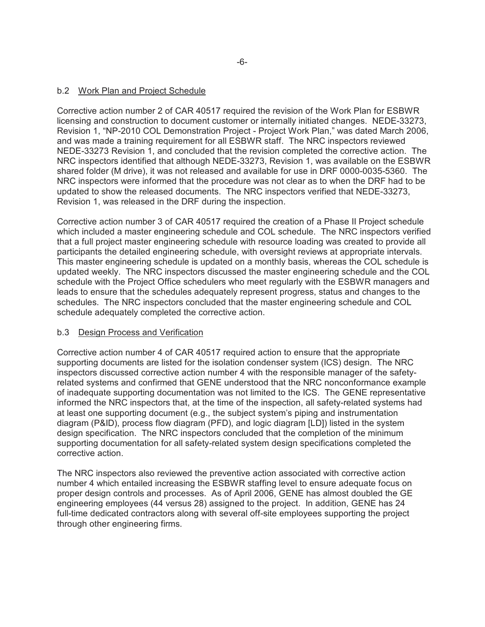# b.2 Work Plan and Project Schedule

Corrective action number 2 of CAR 40517 required the revision of the Work Plan for ESBWR licensing and construction to document customer or internally initiated changes. NEDE-33273, Revision 1, "NP-2010 COL Demonstration Project - Project Work Plan," was dated March 2006, and was made a training requirement for all ESBWR staff. The NRC inspectors reviewed NEDE-33273 Revision 1, and concluded that the revision completed the corrective action. The NRC inspectors identified that although NEDE-33273, Revision 1, was available on the ESBWR shared folder (M drive), it was not released and available for use in DRF 0000-0035-5360. The NRC inspectors were informed that the procedure was not clear as to when the DRF had to be updated to show the released documents. The NRC inspectors verified that NEDE-33273, Revision 1, was released in the DRF during the inspection.

Corrective action number 3 of CAR 40517 required the creation of a Phase II Project schedule which included a master engineering schedule and COL schedule. The NRC inspectors verified that a full project master engineering schedule with resource loading was created to provide all participants the detailed engineering schedule, with oversight reviews at appropriate intervals. This master engineering schedule is updated on a monthly basis, whereas the COL schedule is updated weekly. The NRC inspectors discussed the master engineering schedule and the COL schedule with the Project Office schedulers who meet regularly with the ESBWR managers and leads to ensure that the schedules adequately represent progress, status and changes to the schedules. The NRC inspectors concluded that the master engineering schedule and COL schedule adequately completed the corrective action.

# b.3 Design Process and Verification

Corrective action number 4 of CAR 40517 required action to ensure that the appropriate supporting documents are listed for the isolation condenser system (ICS) design. The NRC inspectors discussed corrective action number 4 with the responsible manager of the safetyrelated systems and confirmed that GENE understood that the NRC nonconformance example of inadequate supporting documentation was not limited to the ICS. The GENE representative informed the NRC inspectors that, at the time of the inspection, all safety-related systems had at least one supporting document (e.g., the subject system's piping and instrumentation diagram (P&ID), process flow diagram (PFD), and logic diagram [LD]) listed in the system design specification. The NRC inspectors concluded that the completion of the minimum supporting documentation for all safety-related system design specifications completed the corrective action.

The NRC inspectors also reviewed the preventive action associated with corrective action number 4 which entailed increasing the ESBWR staffing level to ensure adequate focus on proper design controls and processes. As of April 2006, GENE has almost doubled the GE engineering employees (44 versus 28) assigned to the project. In addition, GENE has 24 full-time dedicated contractors along with several off-site employees supporting the project through other engineering firms.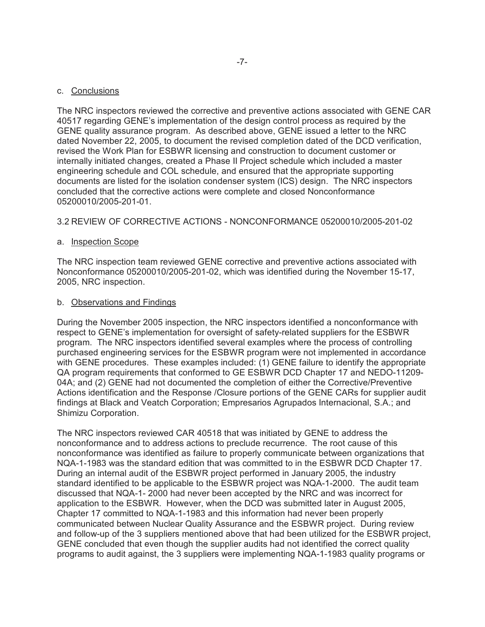The NRC inspectors reviewed the corrective and preventive actions associated with GENE CAR 40517 regarding GENE's implementation of the design control process as required by the GENE quality assurance program. As described above, GENE issued a letter to the NRC dated November 22, 2005, to document the revised completion dated of the DCD verification, revised the Work Plan for ESBWR licensing and construction to document customer or internally initiated changes, created a Phase II Project schedule which included a master engineering schedule and COL schedule, and ensured that the appropriate supporting documents are listed for the isolation condenser system (ICS) design. The NRC inspectors concluded that the corrective actions were complete and closed Nonconformance 05200010/2005-201-01.

# 3.2 REVIEW OF CORRECTIVE ACTIONS - NONCONFORMANCE 05200010/2005-201-02

# a. Inspection Scope

The NRC inspection team reviewed GENE corrective and preventive actions associated with Nonconformance 05200010/2005-201-02, which was identified during the November 15-17, 2005, NRC inspection.

### b. Observations and Findings

During the November 2005 inspection, the NRC inspectors identified a nonconformance with respect to GENE's implementation for oversight of safety-related suppliers for the ESBWR program. The NRC inspectors identified several examples where the process of controlling purchased engineering services for the ESBWR program were not implemented in accordance with GENE procedures. These examples included: (1) GENE failure to identify the appropriate QA program requirements that conformed to GE ESBWR DCD Chapter 17 and NEDO-11209- 04A; and (2) GENE had not documented the completion of either the Corrective/Preventive Actions identification and the Response /Closure portions of the GENE CARs for supplier audit findings at Black and Veatch Corporation; Empresarios Agrupados Internacional, S.A.; and Shimizu Corporation.

The NRC inspectors reviewed CAR 40518 that was initiated by GENE to address the nonconformance and to address actions to preclude recurrence. The root cause of this nonconformance was identified as failure to properly communicate between organizations that NQA-1-1983 was the standard edition that was committed to in the ESBWR DCD Chapter 17. During an internal audit of the ESBWR project performed in January 2005, the industry standard identified to be applicable to the ESBWR project was NQA-1-2000. The audit team discussed that NQA-1- 2000 had never been accepted by the NRC and was incorrect for application to the ESBWR. However, when the DCD was submitted later in August 2005, Chapter 17 committed to NQA-1-1983 and this information had never been properly communicated between Nuclear Quality Assurance and the ESBWR project. During review and follow-up of the 3 suppliers mentioned above that had been utilized for the ESBWR project, GENE concluded that even though the supplier audits had not identified the correct quality programs to audit against, the 3 suppliers were implementing NQA-1-1983 quality programs or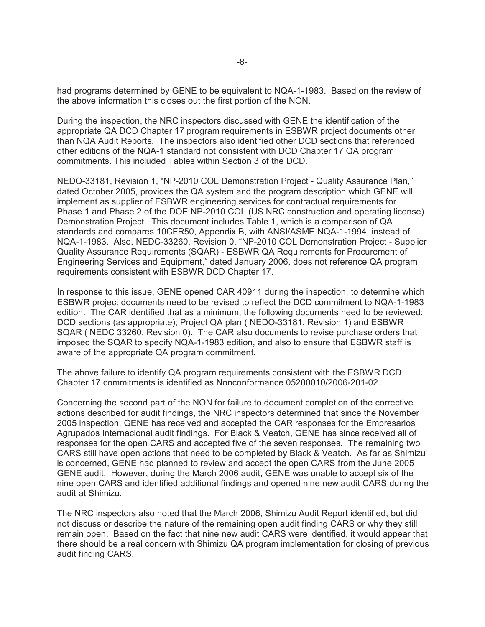had programs determined by GENE to be equivalent to NQA-1-1983. Based on the review of the above information this closes out the first portion of the NON.

During the inspection, the NRC inspectors discussed with GENE the identification of the appropriate QA DCD Chapter 17 program requirements in ESBWR project documents other than NQA Audit Reports. The inspectors also identified other DCD sections that referenced other editions of the NQA-1 standard not consistent with DCD Chapter 17 QA program commitments. This included Tables within Section 3 of the DCD.

NEDO-33181, Revision 1, "NP-2010 COL Demonstration Project - Quality Assurance Plan," dated October 2005, provides the QA system and the program description which GENE will implement as supplier of ESBWR engineering services for contractual requirements for Phase 1 and Phase 2 of the DOE NP-2010 COL (US NRC construction and operating license) Demonstration Project. This document includes Table 1, which is a comparison of QA standards and compares 10CFR50, Appendix B, with ANSI/ASME NQA-1-1994, instead of NQA-1-1983. Also, NEDC-33260, Revision 0, "NP-2010 COL Demonstration Project - Supplier Quality Assurance Requirements (SQAR) - ESBWR QA Requirements for Procurement of Engineering Services and Equipment," dated January 2006, does not reference QA program requirements consistent with ESBWR DCD Chapter 17.

In response to this issue, GENE opened CAR 40911 during the inspection, to determine which ESBWR project documents need to be revised to reflect the DCD commitment to NQA-1-1983 edition. The CAR identified that as a minimum, the following documents need to be reviewed: DCD sections (as appropriate); Project QA plan ( NEDO-33181, Revision 1) and ESBWR SQAR ( NEDC 33260, Revision 0). The CAR also documents to revise purchase orders that imposed the SQAR to specify NQA-1-1983 edition, and also to ensure that ESBWR staff is aware of the appropriate QA program commitment.

The above failure to identify QA program requirements consistent with the ESBWR DCD Chapter 17 commitments is identified as Nonconformance 05200010/2006-201-02.

Concerning the second part of the NON for failure to document completion of the corrective actions described for audit findings, the NRC inspectors determined that since the November 2005 inspection, GENE has received and accepted the CAR responses for the Empresarios Agrupados Internacional audit findings. For Black & Veatch, GENE has since received all of responses for the open CARS and accepted five of the seven responses. The remaining two CARS still have open actions that need to be completed by Black & Veatch. As far as Shimizu is concerned, GENE had planned to review and accept the open CARS from the June 2005 GENE audit. However, during the March 2006 audit, GENE was unable to accept six of the nine open CARS and identified additional findings and opened nine new audit CARS during the audit at Shimizu.

The NRC inspectors also noted that the March 2006, Shimizu Audit Report identified, but did not discuss or describe the nature of the remaining open audit finding CARS or why they still remain open. Based on the fact that nine new audit CARS were identified, it would appear that there should be a real concern with Shimizu QA program implementation for closing of previous audit finding CARS.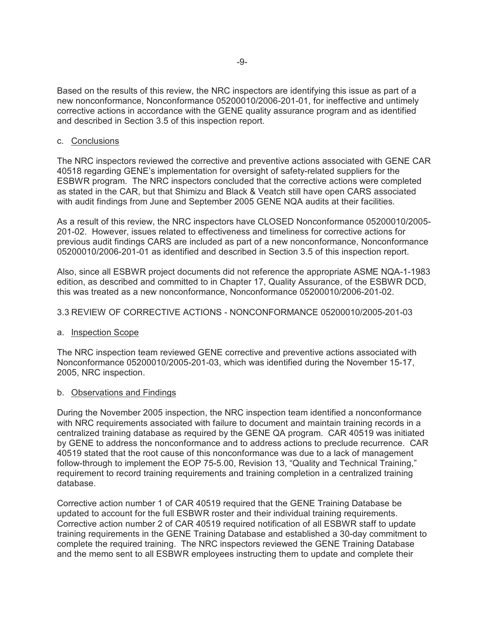Based on the results of this review, the NRC inspectors are identifying this issue as part of a new nonconformance, Nonconformance 05200010/2006-201-01, for ineffective and untimely corrective actions in accordance with the GENE quality assurance program and as identified and described in Section 3.5 of this inspection report.

### c. Conclusions

The NRC inspectors reviewed the corrective and preventive actions associated with GENE CAR 40518 regarding GENE's implementation for oversight of safety-related suppliers for the ESBWR program. The NRC inspectors concluded that the corrective actions were completed as stated in the CAR, but that Shimizu and Black & Veatch still have open CARS associated with audit findings from June and September 2005 GENE NQA audits at their facilities.

As a result of this review, the NRC inspectors have CLOSED Nonconformance 05200010/2005- 201-02. However, issues related to effectiveness and timeliness for corrective actions for previous audit findings CARS are included as part of a new nonconformance, Nonconformance 05200010/2006-201-01 as identified and described in Section 3.5 of this inspection report.

Also, since all ESBWR project documents did not reference the appropriate ASME NQA-1-1983 edition, as described and committed to in Chapter 17, Quality Assurance, of the ESBWR DCD, this was treated as a new nonconformance, Nonconformance 05200010/2006-201-02.

#### 3.3 REVIEW OF CORRECTIVE ACTIONS - NONCONFORMANCE 05200010/2005-201-03

### a. Inspection Scope

The NRC inspection team reviewed GENE corrective and preventive actions associated with Nonconformance 05200010/2005-201-03, which was identified during the November 15-17, 2005, NRC inspection.

#### b. Observations and Findings

During the November 2005 inspection, the NRC inspection team identified a nonconformance with NRC requirements associated with failure to document and maintain training records in a centralized training database as required by the GENE QA program. CAR 40519 was initiated by GENE to address the nonconformance and to address actions to preclude recurrence. CAR 40519 stated that the root cause of this nonconformance was due to a lack of management follow-through to implement the EOP 75-5.00, Revision 13, "Quality and Technical Training," requirement to record training requirements and training completion in a centralized training database.

Corrective action number 1 of CAR 40519 required that the GENE Training Database be updated to account for the full ESBWR roster and their individual training requirements. Corrective action number 2 of CAR 40519 required notification of all ESBWR staff to update training requirements in the GENE Training Database and established a 30-day commitment to complete the required training. The NRC inspectors reviewed the GENE Training Database and the memo sent to all ESBWR employees instructing them to update and complete their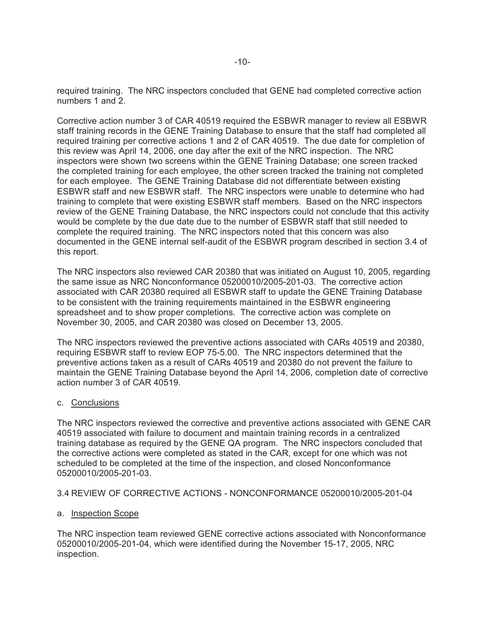required training. The NRC inspectors concluded that GENE had completed corrective action numbers 1 and 2.

Corrective action number 3 of CAR 40519 required the ESBWR manager to review all ESBWR staff training records in the GENE Training Database to ensure that the staff had completed all required training per corrective actions 1 and 2 of CAR 40519. The due date for completion of this review was April 14, 2006, one day after the exit of the NRC inspection. The NRC inspectors were shown two screens within the GENE Training Database; one screen tracked the completed training for each employee, the other screen tracked the training not completed for each employee. The GENE Training Database did not differentiate between existing ESBWR staff and new ESBWR staff. The NRC inspectors were unable to determine who had training to complete that were existing ESBWR staff members. Based on the NRC inspectors review of the GENE Training Database, the NRC inspectors could not conclude that this activity would be complete by the due date due to the number of ESBWR staff that still needed to complete the required training. The NRC inspectors noted that this concern was also documented in the GENE internal self-audit of the ESBWR program described in section 3.4 of this report.

The NRC inspectors also reviewed CAR 20380 that was initiated on August 10, 2005, regarding the same issue as NRC Nonconformance 05200010/2005-201-03. The corrective action associated with CAR 20380 required all ESBWR staff to update the GENE Training Database to be consistent with the training requirements maintained in the ESBWR engineering spreadsheet and to show proper completions. The corrective action was complete on November 30, 2005, and CAR 20380 was closed on December 13, 2005.

The NRC inspectors reviewed the preventive actions associated with CARs 40519 and 20380, requiring ESBWR staff to review EOP 75-5.00. The NRC inspectors determined that the preventive actions taken as a result of CARs 40519 and 20380 do not prevent the failure to maintain the GENE Training Database beyond the April 14, 2006, completion date of corrective action number 3 of CAR 40519.

### c. Conclusions

The NRC inspectors reviewed the corrective and preventive actions associated with GENE CAR 40519 associated with failure to document and maintain training records in a centralized training database as required by the GENE QA program. The NRC inspectors concluded that the corrective actions were completed as stated in the CAR, except for one which was not scheduled to be completed at the time of the inspection, and closed Nonconformance 05200010/2005-201-03.

# 3.4 REVIEW OF CORRECTIVE ACTIONS - NONCONFORMANCE 05200010/2005-201-04

# a. Inspection Scope

The NRC inspection team reviewed GENE corrective actions associated with Nonconformance 05200010/2005-201-04, which were identified during the November 15-17, 2005, NRC inspection.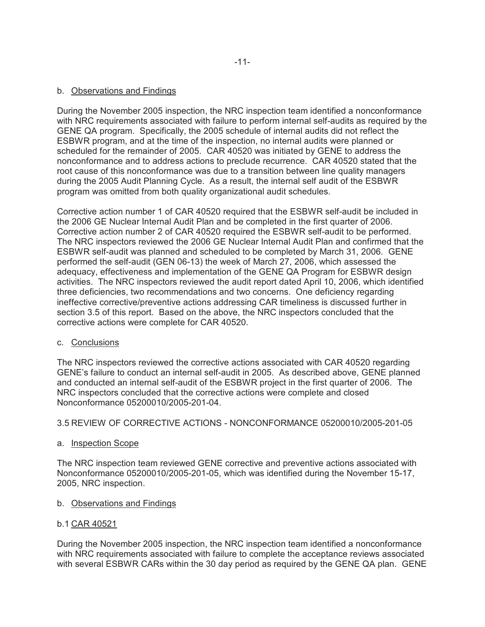During the November 2005 inspection, the NRC inspection team identified a nonconformance with NRC requirements associated with failure to perform internal self-audits as required by the GENE QA program. Specifically, the 2005 schedule of internal audits did not reflect the ESBWR program, and at the time of the inspection, no internal audits were planned or scheduled for the remainder of 2005. CAR 40520 was initiated by GENE to address the nonconformance and to address actions to preclude recurrence. CAR 40520 stated that the root cause of this nonconformance was due to a transition between line quality managers during the 2005 Audit Planning Cycle. As a result, the internal self audit of the ESBWR program was omitted from both quality organizational audit schedules.

Corrective action number 1 of CAR 40520 required that the ESBWR self-audit be included in the 2006 GE Nuclear Internal Audit Plan and be completed in the first quarter of 2006. Corrective action number 2 of CAR 40520 required the ESBWR self-audit to be performed. The NRC inspectors reviewed the 2006 GE Nuclear Internal Audit Plan and confirmed that the ESBWR self-audit was planned and scheduled to be completed by March 31, 2006. GENE performed the self-audit (GEN 06-13) the week of March 27, 2006, which assessed the adequacy, effectiveness and implementation of the GENE QA Program for ESBWR design activities. The NRC inspectors reviewed the audit report dated April 10, 2006, which identified three deficiencies, two recommendations and two concerns. One deficiency regarding ineffective corrective/preventive actions addressing CAR timeliness is discussed further in section 3.5 of this report. Based on the above, the NRC inspectors concluded that the corrective actions were complete for CAR 40520.

c. Conclusions

The NRC inspectors reviewed the corrective actions associated with CAR 40520 regarding GENE's failure to conduct an internal self-audit in 2005. As described above, GENE planned and conducted an internal self-audit of the ESBWR project in the first quarter of 2006. The NRC inspectors concluded that the corrective actions were complete and closed Nonconformance 05200010/2005-201-04.

# 3.5 REVIEW OF CORRECTIVE ACTIONS - NONCONFORMANCE 05200010/2005-201-05

a. Inspection Scope

The NRC inspection team reviewed GENE corrective and preventive actions associated with Nonconformance 05200010/2005-201-05, which was identified during the November 15-17, 2005, NRC inspection.

- b. Observations and Findings
- b.1 CAR 40521

During the November 2005 inspection, the NRC inspection team identified a nonconformance with NRC requirements associated with failure to complete the acceptance reviews associated with several ESBWR CARs within the 30 day period as required by the GENE QA plan. GENE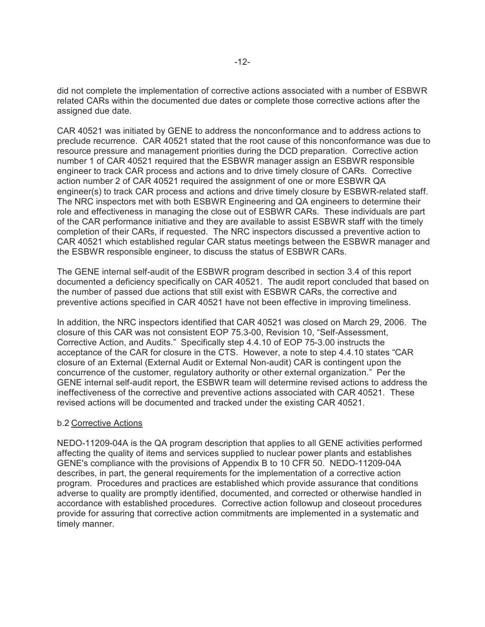did not complete the implementation of corrective actions associated with a number of ESBWR related CARs within the documented due dates or complete those corrective actions after the assigned due date.

CAR 40521 was initiated by GENE to address the nonconformance and to address actions to preclude recurrence. CAR 40521 stated that the root cause of this nonconformance was due to resource pressure and management priorities during the DCD preparation. Corrective action number 1 of CAR 40521 required that the ESBWR manager assign an ESBWR responsible engineer to track CAR process and actions and to drive timely closure of CARs. Corrective action number 2 of CAR 40521 required the assignment of one or more ESBWR QA engineer(s) to track CAR process and actions and drive timely closure by ESBWR-related staff. The NRC inspectors met with both ESBWR Engineering and QA engineers to determine their role and effectiveness in managing the close out of ESBWR CARs. These individuals are part of the CAR performance initiative and they are available to assist ESBWR staff with the timely completion of their CARs, if requested. The NRC inspectors discussed a preventive action to CAR 40521 which established regular CAR status meetings between the ESBWR manager and the ESBWR responsible engineer, to discuss the status of ESBWR CARs.

The GENE internal self-audit of the ESBWR program described in section 3.4 of this report documented a deficiency specifically on CAR 40521. The audit report concluded that based on the number of passed due actions that still exist with ESBWR CARs, the corrective and preventive actions specified in CAR 40521 have not been effective in improving timeliness.

In addition, the NRC inspectors identified that CAR 40521 was closed on March 29, 2006. The closure of this CAR was not consistent EOP 75.3-00, Revision 10, "Self-Assessment, Corrective Action, and Audits." Specifically step 4.4.10 of EOP 75-3.00 instructs the acceptance of the CAR for closure in the CTS. However, a note to step 4.4.10 states "CAR closure of an External (External Audit or External Non-audit) CAR is contingent upon the concurrence of the customer, regulatory authority or other external organization." Per the GENE internal self-audit report, the ESBWR team will determine revised actions to address the ineffectiveness of the corrective and preventive actions associated with CAR 40521. These revised actions will be documented and tracked under the existing CAR 40521.

### b.2 Corrective Actions

NEDO-11209-04A is the QA program description that applies to all GENE activities performed affecting the quality of items and services supplied to nuclear power plants and establishes GENE's compliance with the provisions of Appendix B to 10 CFR 50. NEDO-11209-04A describes, in part, the general requirements for the implementation of a corrective action program. Procedures and practices are established which provide assurance that conditions adverse to quality are promptly identified, documented, and corrected or otherwise handled in accordance with established procedures. Corrective action followup and closeout procedures provide for assuring that corrective action commitments are implemented in a systematic and timely manner.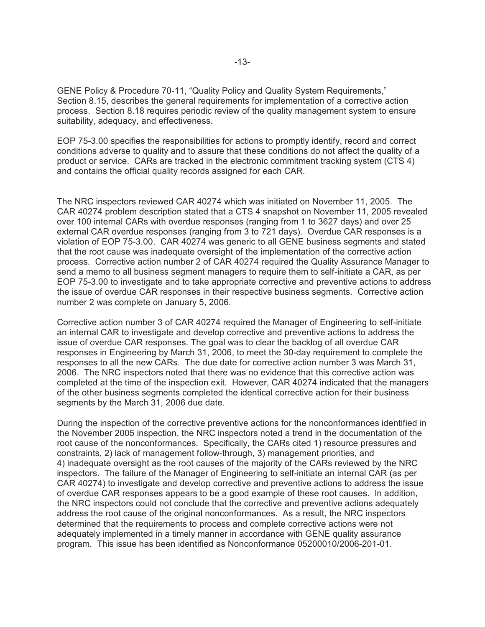GENE Policy & Procedure 70-11, "Quality Policy and Quality System Requirements," Section 8.15, describes the general requirements for implementation of a corrective action process. Section 8.18 requires periodic review of the quality management system to ensure suitability, adequacy, and effectiveness.

EOP 75-3.00 specifies the responsibilities for actions to promptly identify, record and correct conditions adverse to quality and to assure that these conditions do not affect the quality of a product or service. CARs are tracked in the electronic commitment tracking system (CTS 4) and contains the official quality records assigned for each CAR.

The NRC inspectors reviewed CAR 40274 which was initiated on November 11, 2005. The CAR 40274 problem description stated that a CTS 4 snapshot on November 11, 2005 revealed over 100 internal CARs with overdue responses (ranging from 1 to 3627 days) and over 25 external CAR overdue responses (ranging from 3 to 721 days). Overdue CAR responses is a violation of EOP 75-3.00. CAR 40274 was generic to all GENE business segments and stated that the root cause was inadequate oversight of the implementation of the corrective action process. Corrective action number 2 of CAR 40274 required the Quality Assurance Manager to send a memo to all business segment managers to require them to self-initiate a CAR, as per EOP 75-3.00 to investigate and to take appropriate corrective and preventive actions to address the issue of overdue CAR responses in their respective business segments. Corrective action number 2 was complete on January 5, 2006.

Corrective action number 3 of CAR 40274 required the Manager of Engineering to self-initiate an internal CAR to investigate and develop corrective and preventive actions to address the issue of overdue CAR responses. The goal was to clear the backlog of all overdue CAR responses in Engineering by March 31, 2006, to meet the 30-day requirement to complete the responses to all the new CARs. The due date for corrective action number 3 was March 31, 2006. The NRC inspectors noted that there was no evidence that this corrective action was completed at the time of the inspection exit. However, CAR 40274 indicated that the managers of the other business segments completed the identical corrective action for their business segments by the March 31, 2006 due date.

During the inspection of the corrective preventive actions for the nonconformances identified in the November 2005 inspection, the NRC inspectors noted a trend in the documentation of the root cause of the nonconformances. Specifically, the CARs cited 1) resource pressures and constraints, 2) lack of management follow-through, 3) management priorities, and 4) inadequate oversight as the root causes of the majority of the CARs reviewed by the NRC inspectors. The failure of the Manager of Engineering to self-initiate an internal CAR (as per CAR 40274) to investigate and develop corrective and preventive actions to address the issue of overdue CAR responses appears to be a good example of these root causes. In addition, the NRC inspectors could not conclude that the corrective and preventive actions adequately address the root cause of the original nonconformances. As a result, the NRC inspectors determined that the requirements to process and complete corrective actions were not adequately implemented in a timely manner in accordance with GENE quality assurance program. This issue has been identified as Nonconformance 05200010/2006-201-01.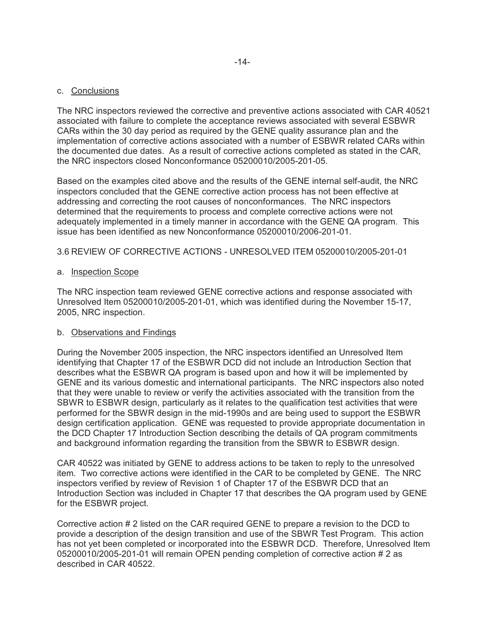The NRC inspectors reviewed the corrective and preventive actions associated with CAR 40521 associated with failure to complete the acceptance reviews associated with several ESBWR CARs within the 30 day period as required by the GENE quality assurance plan and the implementation of corrective actions associated with a number of ESBWR related CARs within the documented due dates. As a result of corrective actions completed as stated in the CAR, the NRC inspectors closed Nonconformance 05200010/2005-201-05.

Based on the examples cited above and the results of the GENE internal self-audit, the NRC inspectors concluded that the GENE corrective action process has not been effective at addressing and correcting the root causes of nonconformances. The NRC inspectors determined that the requirements to process and complete corrective actions were not adequately implemented in a timely manner in accordance with the GENE QA program. This issue has been identified as new Nonconformance 05200010/2006-201-01.

# 3.6 REVIEW OF CORRECTIVE ACTIONS - UNRESOLVED ITEM 05200010/2005-201-01

### a. Inspection Scope

The NRC inspection team reviewed GENE corrective actions and response associated with Unresolved Item 05200010/2005-201-01, which was identified during the November 15-17, 2005, NRC inspection.

### b. Observations and Findings

During the November 2005 inspection, the NRC inspectors identified an Unresolved Item identifying that Chapter 17 of the ESBWR DCD did not include an Introduction Section that describes what the ESBWR QA program is based upon and how it will be implemented by GENE and its various domestic and international participants. The NRC inspectors also noted that they were unable to review or verify the activities associated with the transition from the SBWR to ESBWR design, particularly as it relates to the qualification test activities that were performed for the SBWR design in the mid-1990s and are being used to support the ESBWR design certification application. GENE was requested to provide appropriate documentation in the DCD Chapter 17 Introduction Section describing the details of QA program commitments and background information regarding the transition from the SBWR to ESBWR design.

CAR 40522 was initiated by GENE to address actions to be taken to reply to the unresolved item. Two corrective actions were identified in the CAR to be completed by GENE. The NRC inspectors verified by review of Revision 1 of Chapter 17 of the ESBWR DCD that an Introduction Section was included in Chapter 17 that describes the QA program used by GENE for the ESBWR project.

Corrective action # 2 listed on the CAR required GENE to prepare a revision to the DCD to provide a description of the design transition and use of the SBWR Test Program. This action has not yet been completed or incorporated into the ESBWR DCD. Therefore, Unresolved Item 05200010/2005-201-01 will remain OPEN pending completion of corrective action # 2 as described in CAR 40522.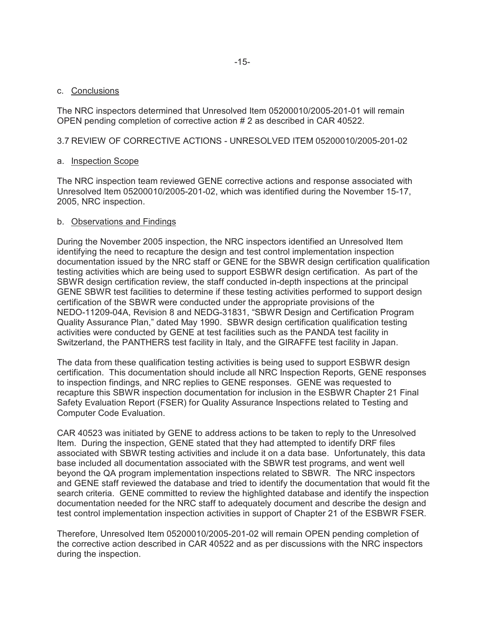The NRC inspectors determined that Unresolved Item 05200010/2005-201-01 will remain OPEN pending completion of corrective action # 2 as described in CAR 40522.

# 3.7 REVIEW OF CORRECTIVE ACTIONS - UNRESOLVED ITEM 05200010/2005-201-02

### a. Inspection Scope

The NRC inspection team reviewed GENE corrective actions and response associated with Unresolved Item 05200010/2005-201-02, which was identified during the November 15-17, 2005, NRC inspection.

# b. Observations and Findings

During the November 2005 inspection, the NRC inspectors identified an Unresolved Item identifying the need to recapture the design and test control implementation inspection documentation issued by the NRC staff or GENE for the SBWR design certification qualification testing activities which are being used to support ESBWR design certification. As part of the SBWR design certification review, the staff conducted in-depth inspections at the principal GENE SBWR test facilities to determine if these testing activities performed to support design certification of the SBWR were conducted under the appropriate provisions of the NEDO-11209-04A, Revision 8 and NEDG-31831, "SBWR Design and Certification Program Quality Assurance Plan," dated May 1990. SBWR design certification qualification testing activities were conducted by GENE at test facilities such as the PANDA test facility in Switzerland, the PANTHERS test facility in Italy, and the GIRAFFE test facility in Japan.

The data from these qualification testing activities is being used to support ESBWR design certification. This documentation should include all NRC Inspection Reports, GENE responses to inspection findings, and NRC replies to GENE responses. GENE was requested to recapture this SBWR inspection documentation for inclusion in the ESBWR Chapter 21 Final Safety Evaluation Report (FSER) for Quality Assurance Inspections related to Testing and Computer Code Evaluation.

CAR 40523 was initiated by GENE to address actions to be taken to reply to the Unresolved Item. During the inspection, GENE stated that they had attempted to identify DRF files associated with SBWR testing activities and include it on a data base. Unfortunately, this data base included all documentation associated with the SBWR test programs, and went well beyond the QA program implementation inspections related to SBWR. The NRC inspectors and GENE staff reviewed the database and tried to identify the documentation that would fit the search criteria. GENE committed to review the highlighted database and identify the inspection documentation needed for the NRC staff to adequately document and describe the design and test control implementation inspection activities in support of Chapter 21 of the ESBWR FSER.

Therefore, Unresolved Item 05200010/2005-201-02 will remain OPEN pending completion of the corrective action described in CAR 40522 and as per discussions with the NRC inspectors during the inspection.